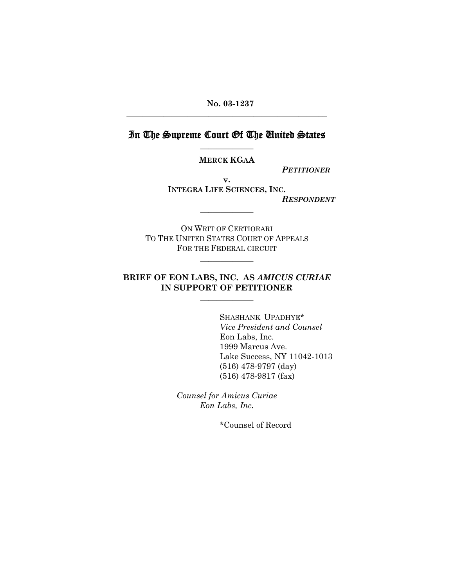**No. 03-1237** \_\_\_\_\_\_\_\_\_\_\_\_\_\_\_\_\_\_\_\_\_\_\_\_\_\_\_\_\_\_\_\_\_\_\_\_\_\_\_\_\_\_\_\_\_\_\_\_\_

# In The Supreme Court Of The United States \_\_\_\_\_\_\_\_\_\_\_\_\_

**MERCK KGAA** 

*PETITIONER*

**v. INTEGRA LIFE SCIENCES, INC.**  *RESPONDENT*

ON WRIT OF CERTIORARI TO THE UNITED STATES COURT OF APPEALS FOR THE FEDERAL CIRCUIT

\_\_\_\_\_\_\_\_\_\_\_\_\_

\_\_\_\_\_\_\_\_\_\_\_\_\_

# **BRIEF OF EON LABS, INC. AS** *AMICUS CURIAE*  **IN SUPPORT OF PETITIONER**

\_\_\_\_\_\_\_\_\_\_\_\_\_

 SHASHANK UPADHYE\* *Vice President and Counsel*  Eon Labs, Inc. 1999 Marcus Ave. Lake Success, NY 11042-1013 (516) 478-9797 (day) (516) 478-9817 (fax)

*Counsel for Amicus Curiae Eon Labs, Inc.*

\*Counsel of Record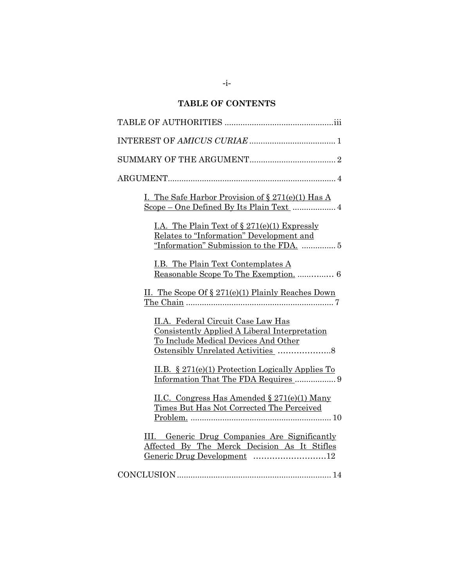# **TABLE OF CONTENTS**

| I. The Safe Harbor Provision of $\S 271(e)(1)$ Has A<br>Scope - One Defined By Its Plain Text  4                                       |
|----------------------------------------------------------------------------------------------------------------------------------------|
| I.A. The Plain Text of $\S 271(e)(1)$ Expressly<br>Relates to "Information" Development and<br>"Information" Submission to the FDA.  5 |
| <u>I.B. The Plain Text Contemplates A</u>                                                                                              |
| II. The Scope Of $\S 271(e)(1)$ Plainly Reaches Down                                                                                   |
| II.A. Federal Circuit Case Law Has<br>Consistently Applied A Liberal Interpretation<br>To Include Medical Devices And Other            |
| II.B. $\S 271(e)(1)$ Protection Logically Applies To<br>Information That The FDA Requires  9                                           |
| II.C. Congress Has Amended § 271(e)(1) Many<br>Times But Has Not Corrected The Perceived                                               |
| III. Generic Drug Companies Are Significantly<br>Affected By The Merck Decision As It Stifles<br>Generic Drug Development 12           |
|                                                                                                                                        |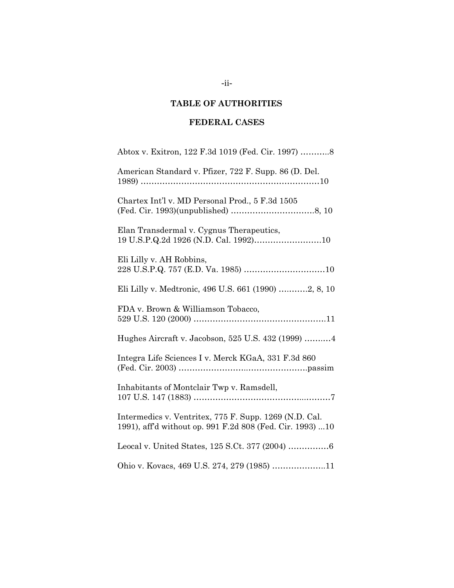# **TABLE OF AUTHORITIES**

# **FEDERAL CASES**

| Abtox v. Exitron, 122 F.3d 1019 (Fed. Cir. 1997) 8                                                                  |
|---------------------------------------------------------------------------------------------------------------------|
| American Standard v. Pfizer, 722 F. Supp. 86 (D. Del.                                                               |
| Chartex Int'l v. MD Personal Prod., 5 F.3d 1505                                                                     |
| Elan Transdermal v. Cygnus Therapeutics,<br>19 U.S.P.Q.2d 1926 (N.D. Cal. 1992)10                                   |
| Eli Lilly v. AH Robbins,                                                                                            |
| Eli Lilly v. Medtronic, 496 U.S. 661 (1990) 2, 8, 10                                                                |
| FDA v. Brown & Williamson Tobacco,                                                                                  |
| Hughes Aircraft v. Jacobson, 525 U.S. 432 (1999)  4                                                                 |
| Integra Life Sciences I v. Merck KGaA, 331 F.3d 860                                                                 |
| Inhabitants of Montclair Twp v. Ramsdell,                                                                           |
| Intermedics v. Ventritex, 775 F. Supp. 1269 (N.D. Cal.<br>1991), affd without op. 991 F.2d 808 (Fed. Cir. 1993)  10 |
|                                                                                                                     |
| Ohio v. Kovacs, 469 U.S. 274, 279 (1985) 11                                                                         |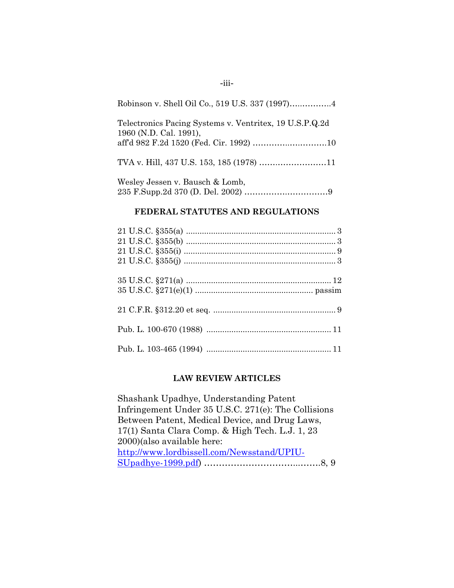| Robinson v. Shell Oil Co., 519 U.S. 337 (1997)4                                   |
|-----------------------------------------------------------------------------------|
| Telectronics Pacing Systems v. Ventritex, 19 U.S.P.Q.2d<br>1960 (N.D. Cal. 1991), |
| TVA v. Hill, 437 U.S. 153, 185 (1978) 11                                          |
|                                                                                   |

# Wesley Jessen v. Bausch & Lomb, 235 F.Supp.2d 370 (D. Del. 2002) …………….……………9

### **FEDERAL STATUTES AND REGULATIONS**

### **LAW REVIEW ARTICLES**

Shashank Upadhye, Understanding Patent Infringement Under 35 U.S.C. 271(e): The Collisions Between Patent, Medical Device, and Drug Laws, 17(1) Santa Clara Comp. & High Tech. L.J. 1, 23 2000)(also available here: [http://www.lordbissell.com/Newsstand/UPIU-](http://www.lordbissell.com/Newsstand/UPIU-SUpadhye-1999.pdf)[SUpadhye-1999.pdf\)](http://www.lordbissell.com/Newsstand/UPIU-SUpadhye-1999.pdf) …………………………...…….8, 9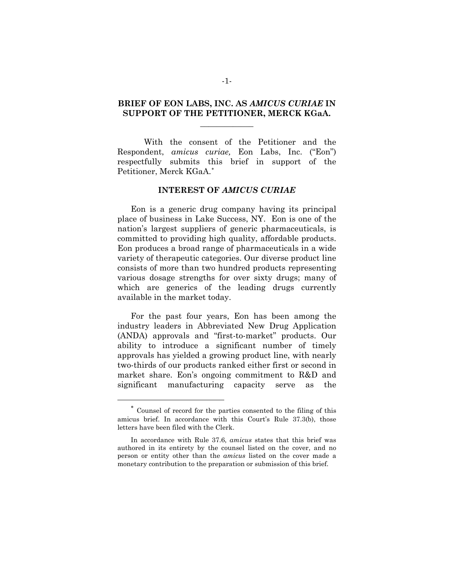## **BRIEF OF EON LABS, INC. AS** *AMICUS CURIAE* **IN SUPPORT OF THE PETITIONER, MERCK KGaA.**   $\overline{\phantom{a}}$

With the consent of the Petitioner and the Respondent, *amicus curiae,* Eon Labs, Inc. ("Eon") respectfully submits this brief in support of the Petitioner, Merck KGaA.[∗](#page-5-0)

#### **INTEREST OF** *AMICUS CURIAE*

Eon is a generic drug company having its principal place of business in Lake Success, NY. Eon is one of the nation's largest suppliers of generic pharmaceuticals, is committed to providing high quality, affordable products. Eon produces a broad range of pharmaceuticals in a wide variety of therapeutic categories. Our diverse product line consists of more than two hundred products representing various dosage strengths for over sixty drugs; many of which are generics of the leading drugs currently available in the market today.

For the past four years, Eon has been among the industry leaders in Abbreviated New Drug Application (ANDA) approvals and "first-to-market" products. Our ability to introduce a significant number of timely approvals has yielded a growing product line, with nearly two-thirds of our products ranked either first or second in market share. Eon's ongoing commitment to R&D and significant manufacturing capacity serve as the

 $\overline{a}$ 

<span id="page-5-0"></span><sup>∗</sup> Counsel of record for the parties consented to the filing of this amicus brief. In accordance with this Court's Rule 37.3(b), those letters have been filed with the Clerk.

In accordance with Rule 37.6, *amicus* states that this brief was authored in its entirety by the counsel listed on the cover, and no person or entity other than the *amicus* listed on the cover made a monetary contribution to the preparation or submission of this brief.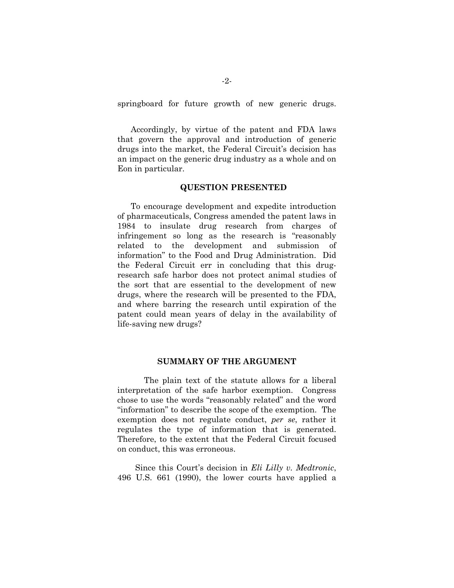springboard for future growth of new generic drugs.

Accordingly, by virtue of the patent and FDA laws that govern the approval and introduction of generic drugs into the market, the Federal Circuit's decision has an impact on the generic drug industry as a whole and on Eon in particular.

#### **QUESTION PRESENTED**

To encourage development and expedite introduction of pharmaceuticals, Congress amended the patent laws in 1984 to insulate drug research from charges of infringement so long as the research is "reasonably related to the development and submission of information" to the Food and Drug Administration. Did the Federal Circuit err in concluding that this drugresearch safe harbor does not protect animal studies of the sort that are essential to the development of new drugs, where the research will be presented to the FDA, and where barring the research until expiration of the patent could mean years of delay in the availability of life-saving new drugs?

#### **SUMMARY OF THE ARGUMENT**

 The plain text of the statute allows for a liberal interpretation of the safe harbor exemption. Congress chose to use the words "reasonably related" and the word "information" to describe the scope of the exemption. The exemption does not regulate conduct, *per se*, rather it regulates the type of information that is generated. Therefore, to the extent that the Federal Circuit focused on conduct, this was erroneous.

Since this Court's decision in *Eli Lilly v. Medtronic*, 496 U.S. 661 (1990), the lower courts have applied a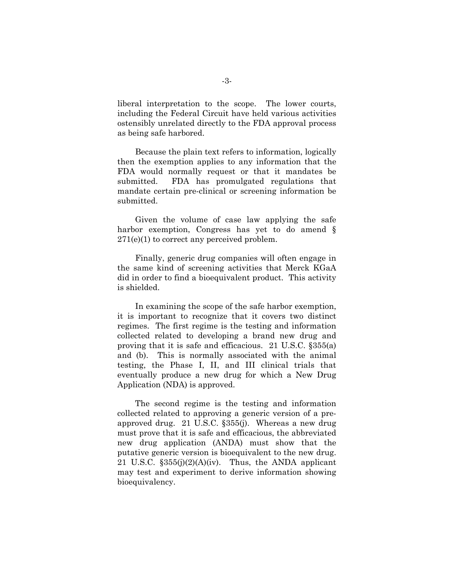liberal interpretation to the scope. The lower courts, including the Federal Circuit have held various activities ostensibly unrelated directly to the FDA approval process as being safe harbored.

Because the plain text refers to information, logically then the exemption applies to any information that the FDA would normally request or that it mandates be submitted. FDA has promulgated regulations that mandate certain pre-clinical or screening information be submitted.

Given the volume of case law applying the safe harbor exemption, Congress has yet to do amend  $\S$ 271(e)(1) to correct any perceived problem.

Finally, generic drug companies will often engage in the same kind of screening activities that Merck KGaA did in order to find a bioequivalent product. This activity is shielded.

In examining the scope of the safe harbor exemption, it is important to recognize that it covers two distinct regimes. The first regime is the testing and information collected related to developing a brand new drug and proving that it is safe and efficacious. 21 U.S.C. §355(a) and (b). This is normally associated with the animal testing, the Phase I, II, and III clinical trials that eventually produce a new drug for which a New Drug Application (NDA) is approved.

The second regime is the testing and information collected related to approving a generic version of a preapproved drug. 21 U.S.C. §355(j). Whereas a new drug must prove that it is safe and efficacious, the abbreviated new drug application (ANDA) must show that the putative generic version is bioequivalent to the new drug. 21 U.S.C.  $$355(j)(2)(A)(iv)$ . Thus, the ANDA applicant may test and experiment to derive information showing bioequivalency.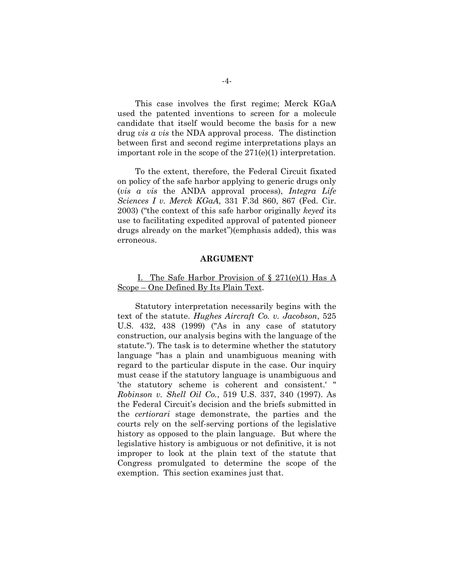This case involves the first regime; Merck KGaA used the patented inventions to screen for a molecule candidate that itself would become the basis for a new drug *vis a vis* the NDA approval process. The distinction between first and second regime interpretations plays an important role in the scope of the 271(e)(1) interpretation.

To the extent, therefore, the Federal Circuit fixated on policy of the safe harbor applying to generic drugs only (*vis a vis* the ANDA approval process), *Integra Life Sciences I v. Merck KGaA*, 331 F.3d 860, 867 (Fed. Cir. 2003) ("the context of this safe harbor originally *keyed* its use to facilitating expedited approval of patented pioneer drugs already on the market")(emphasis added), this was erroneous.

#### **ARGUMENT**

#### I. The Safe Harbor Provision of  $\S 271(e)(1)$  Has A Scope – One Defined By Its Plain Text.

Statutory interpretation necessarily begins with the text of the statute. *Hughes Aircraft Co. v. Jacobson*, 525 U.S. 432, 438 (1999) ("As in any case of statutory construction, our analysis begins with the language of the statute."). The task is to determine whether the statutory language "has a plain and unambiguous meaning with regard to the particular dispute in the case. Our inquiry must cease if the statutory language is unambiguous and 'the statutory scheme is coherent and consistent.' " *Robinson v. Shell Oil Co.*, 519 U.S. 337, 340 (1997). As the Federal Circuit's decision and the briefs submitted in the *certiorari* stage demonstrate, the parties and the courts rely on the self-serving portions of the legislative history as opposed to the plain language. But where the legislative history is ambiguous or not definitive, it is not improper to look at the plain text of the statute that Congress promulgated to determine the scope of the exemption. This section examines just that.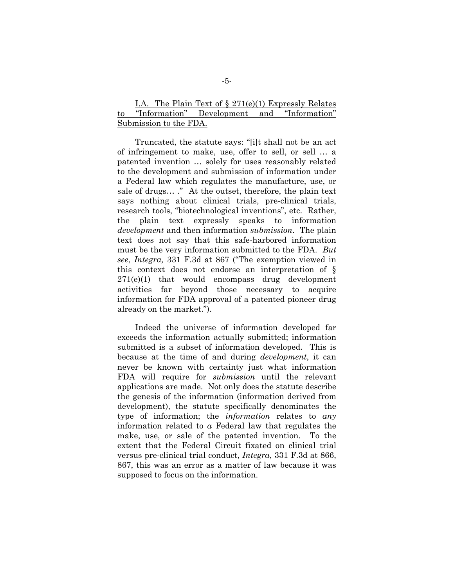## I.A. The Plain Text of  $\S 271(e)(1)$  Expressly Relates to "Information" Development and "Information" Submission to the FDA.

Truncated, the statute says: "[i]t shall not be an act of infringement to make, use, offer to sell, or sell … a patented invention … solely for uses reasonably related to the development and submission of information under a Federal law which regulates the manufacture, use, or sale of drugs… ." At the outset, therefore, the plain text says nothing about clinical trials, pre-clinical trials, research tools, "biotechnological inventions", etc. Rather, the plain text expressly speaks to information *development* and then information *submission*. The plain text does not say that this safe-harbored information must be the very information submitted to the FDA. *But see*, *Integra,* 331 F.3d at 867 ("The exemption viewed in this context does not endorse an interpretation of § 271(e)(1) that would encompass drug development activities far beyond those necessary to acquire information for FDA approval of a patented pioneer drug already on the market.").

Indeed the universe of information developed far exceeds the information actually submitted; information submitted is a subset of information developed. This is because at the time of and during *development*, it can never be known with certainty just what information FDA will require for *submission* until the relevant applications are made. Not only does the statute describe the genesis of the information (information derived from development), the statute specifically denominates the type of information; the *information* relates to *any* information related to *a* Federal law that regulates the make, use, or sale of the patented invention. To the extent that the Federal Circuit fixated on clinical trial versus pre-clinical trial conduct, *Integra*, 331 F.3d at 866, 867, this was an error as a matter of law because it was supposed to focus on the information.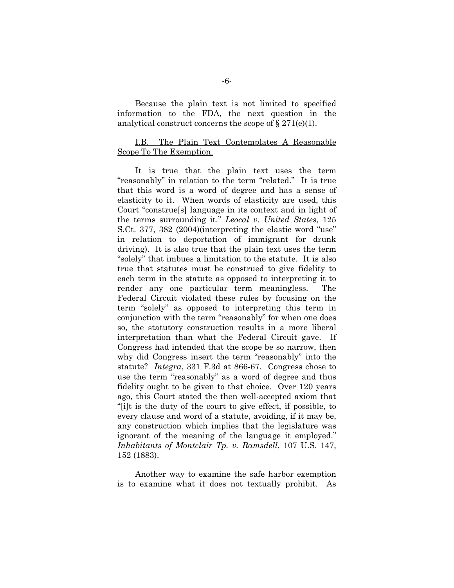Because the plain text is not limited to specified information to the FDA, the next question in the analytical construct concerns the scope of  $\S 271(e)(1)$ .

### I.B. The Plain Text Contemplates A Reasonable Scope To The Exemption.

It is true that the plain text uses the term "reasonably" in relation to the term "related." It is true that this word is a word of degree and has a sense of elasticity to it. When words of elasticity are used, this Court "construe[s] language in its context and in light of the terms surrounding it." *Leocal v. United States*, 125 S.Ct. 377, 382 (2004)(interpreting the elastic word "use" in relation to deportation of immigrant for drunk driving). It is also true that the plain text uses the term "solely" that imbues a limitation to the statute. It is also true that statutes must be construed to give fidelity to each term in the statute as opposed to interpreting it to render any one particular term meaningless. The Federal Circuit violated these rules by focusing on the term "solely" as opposed to interpreting this term in conjunction with the term "reasonably" for when one does so, the statutory construction results in a more liberal interpretation than what the Federal Circuit gave. If Congress had intended that the scope be so narrow, then why did Congress insert the term "reasonably" into the statute? *Integra*, 331 F.3d at 866-67. Congress chose to use the term "reasonably" as a word of degree and thus fidelity ought to be given to that choice. Over 120 years ago, this Court stated the then well-accepted axiom that "[i]t is the duty of the court to give effect, if possible, to every clause and word of a statute, avoiding, if it may be, any construction which implies that the legislature was ignorant of the meaning of the language it employed." *Inhabitants of Montclair Tp. v. Ramsdell*, 107 U.S. 147, 152 (1883).

Another way to examine the safe harbor exemption is to examine what it does not textually prohibit. As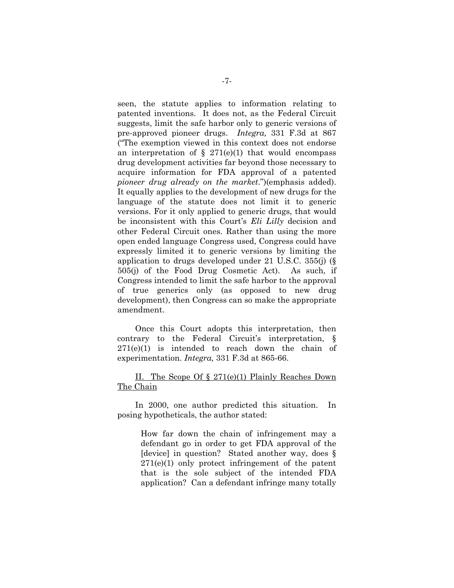seen, the statute applies to information relating to patented inventions. It does not, as the Federal Circuit suggests, limit the safe harbor only to generic versions of pre-approved pioneer drugs. *Integra,* 331 F.3d at 867 ("The exemption viewed in this context does not endorse an interpretation of  $\S$  271(e)(1) that would encompass drug development activities far beyond those necessary to acquire information for FDA approval of a patented *pioneer drug already on the market*.")(emphasis added). It equally applies to the development of new drugs for the language of the statute does not limit it to generic versions. For it only applied to generic drugs, that would be inconsistent with this Court's *Eli Lilly* decision and other Federal Circuit ones. Rather than using the more open ended language Congress used, Congress could have expressly limited it to generic versions by limiting the application to drugs developed under 21 U.S.C. 355(j) (§ 505(j) of the Food Drug Cosmetic Act). As such, if Congress intended to limit the safe harbor to the approval of true generics only (as opposed to new drug development), then Congress can so make the appropriate amendment.

Once this Court adopts this interpretation, then contrary to the Federal Circuit's interpretation, § 271(e)(1) is intended to reach down the chain of experimentation. *Integra,* 331 F.3d at 865-66.

#### II. The Scope Of § 271(e)(1) Plainly Reaches Down The Chain

In 2000, one author predicted this situation. In posing hypotheticals, the author stated:

How far down the chain of infringement may a defendant go in order to get FDA approval of the [device] in question? Stated another way, does § 271(e)(1) only protect infringement of the patent that is the sole subject of the intended FDA application? Can a defendant infringe many totally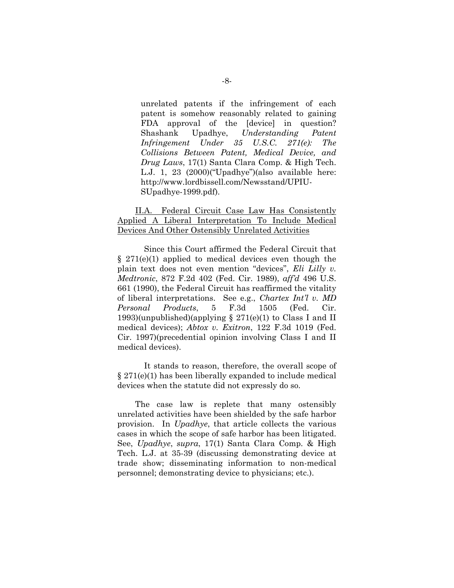unrelated patents if the infringement of each patent is somehow reasonably related to gaining FDA approval of the [device] in question? Shashank Upadhye, *Understanding Patent Infringement Under 35 U.S.C. 271(e): The Collisions Between Patent, Medical Device, and Drug Laws*, 17(1) Santa Clara Comp. & High Tech. L.J. 1, 23 (2000)("Upadhye")(also available here: http://www.lordbissell.com/Newsstand/UPIU-SUpadhye-1999.pdf).

## II.A. Federal Circuit Case Law Has Consistently Applied A Liberal Interpretation To Include Medical Devices And Other Ostensibly Unrelated Activities

 Since this Court affirmed the Federal Circuit that  $§$  271(e)(1) applied to medical devices even though the plain text does not even mention "devices", *Eli Lilly v. Medtronic*, 872 F.2d 402 (Fed. Cir. 1989), *aff'd* 496 U.S. 661 (1990), the Federal Circuit has reaffirmed the vitality of liberal interpretations. See e.g., *Chartex Int'l v. MD Personal Products*, 5 F.3d 1505 (Fed. Cir. 1993)(unpublished)(applying  $\S 271(e)(1)$  to Class I and II medical devices); *Abtox v. Exitron*, 122 F.3d 1019 (Fed. Cir. 1997)(precedential opinion involving Class I and II medical devices).

 It stands to reason, therefore, the overall scope of § 271(e)(1) has been liberally expanded to include medical devices when the statute did not expressly do so.

The case law is replete that many ostensibly unrelated activities have been shielded by the safe harbor provision. In *Upadhye*, that article collects the various cases in which the scope of safe harbor has been litigated. See, *Upadhye*, *supra*, 17(1) Santa Clara Comp. & High Tech. L.J. at 35-39 (discussing demonstrating device at trade show; disseminating information to non-medical personnel; demonstrating device to physicians; etc.).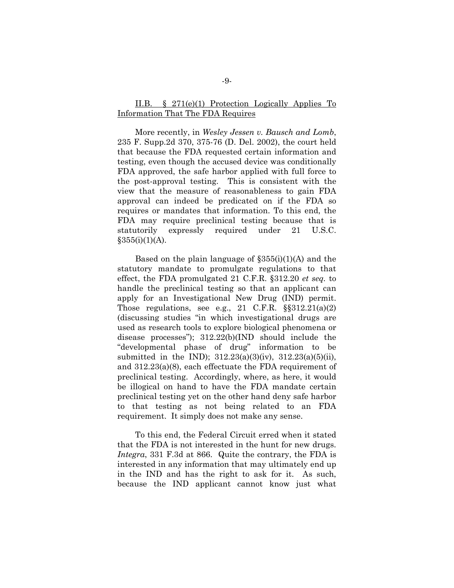### II.B. § 271(e)(1) Protection Logically Applies To Information That The FDA Requires

More recently, in *Wesley Jessen v. Bausch and Lomb*, 235 F. Supp.2d 370, 375-76 (D. Del. 2002), the court held that because the FDA requested certain information and testing, even though the accused device was conditionally FDA approved, the safe harbor applied with full force to the post-approval testing. This is consistent with the view that the measure of reasonableness to gain FDA approval can indeed be predicated on if the FDA so requires or mandates that information. To this end, the FDA may require preclinical testing because that is statutorily expressly required under 21 U.S.C.  $§355(i)(1)(A).$ 

Based on the plain language of  $\S 355(i)(1)(A)$  and the statutory mandate to promulgate regulations to that effect, the FDA promulgated 21 C.F.R. §312.20 *et seq.* to handle the preclinical testing so that an applicant can apply for an Investigational New Drug (IND) permit. Those regulations, see e.g., 21 C.F.R.  $\S$  $312.21(a)(2)$ (discussing studies "in which investigational drugs are used as research tools to explore biological phenomena or disease processes"); 312.22(b)(IND should include the "developmental phase of drug" information to be submitted in the IND); 312.23(a)(3)(iv), 312.23(a)(5)(ii), and 312.23(a)(8), each effectuate the FDA requirement of preclinical testing. Accordingly, where, as here, it would be illogical on hand to have the FDA mandate certain preclinical testing yet on the other hand deny safe harbor to that testing as not being related to an FDA requirement. It simply does not make any sense.

To this end, the Federal Circuit erred when it stated that the FDA is not interested in the hunt for new drugs. *Integra*, 331 F.3d at 866. Quite the contrary, the FDA is interested in any information that may ultimately end up in the IND and has the right to ask for it. As such, because the IND applicant cannot know just what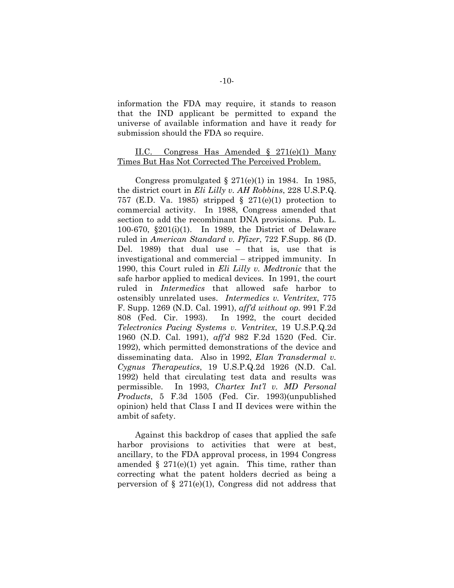information the FDA may require, it stands to reason that the IND applicant be permitted to expand the universe of available information and have it ready for submission should the FDA so require.

#### II.C. Congress Has Amended § 271(e)(1) Many Times But Has Not Corrected The Perceived Problem.

Congress promulgated  $\S 271(e)(1)$  in 1984. In 1985, the district court in *Eli Lilly v. AH Robbins*, 228 U.S.P.Q. 757 (E.D. Va. 1985) stripped  $\S$  271(e)(1) protection to commercial activity. In 1988, Congress amended that section to add the recombinant DNA provisions. Pub. L. 100-670, §201(i)(1). In 1989, the District of Delaware ruled in *American Standard v. Pfizer*, 722 F.Supp. 86 (D. Del. 1989) that dual use – that is, use that is investigational and commercial – stripped immunity. In 1990, this Court ruled in *Eli Lilly v. Medtronic* that the safe harbor applied to medical devices. In 1991, the court ruled in *Intermedics* that allowed safe harbor to ostensibly unrelated uses. *Intermedics v. Ventritex*, 775 F. Supp. 1269 (N.D. Cal. 1991), *aff'd without op.* 991 F.2d 808 (Fed. Cir. 1993). In 1992, the court decided *Telectronics Pacing Systems v. Ventritex*, 19 U.S.P.Q.2d 1960 (N.D. Cal. 1991), *aff'd* 982 F.2d 1520 (Fed. Cir. 1992), which permitted demonstrations of the device and disseminating data. Also in 1992, *Elan Transdermal v. Cygnus Therapeutics*, 19 U.S.P.Q.2d 1926 (N.D. Cal. 1992) held that circulating test data and results was permissible. In 1993, *Chartex Int'l v. MD Personal Products*, 5 F.3d 1505 (Fed. Cir. 1993)(unpublished opinion) held that Class I and II devices were within the ambit of safety.

Against this backdrop of cases that applied the safe harbor provisions to activities that were at best, ancillary, to the FDA approval process, in 1994 Congress amended  $\S 271(e)(1)$  yet again. This time, rather than correcting what the patent holders decried as being a perversion of  $\S 271(e)(1)$ , Congress did not address that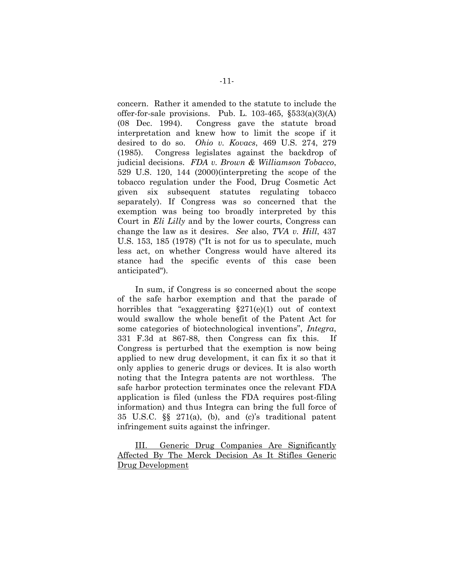concern. Rather it amended to the statute to include the offer-for-sale provisions. Pub. L. 103-465, §533(a)(3)(A) (08 Dec. 1994). Congress gave the statute broad interpretation and knew how to limit the scope if it desired to do so. *Ohio v. Kovacs*, 469 U.S. 274, 279 (1985). Congress legislates against the backdrop of judicial decisions. *FDA v. Brown & Williamson Tobacco*, 529 U.S. 120, 144 (2000)(interpreting the scope of the tobacco regulation under the Food, Drug Cosmetic Act given six subsequent statutes regulating tobacco separately). If Congress was so concerned that the exemption was being too broadly interpreted by this Court in *Eli Lilly* and by the lower courts, Congress can change the law as it desires. *See* also, *TVA v. Hill*, 437 U.S. 153, 185 (1978) ("It is not for us to speculate, much less act, on whether Congress would have altered its stance had the specific events of this case been anticipated").

In sum, if Congress is so concerned about the scope of the safe harbor exemption and that the parade of horribles that "exaggerating  $\S271(e)(1)$  out of context would swallow the whole benefit of the Patent Act for some categories of biotechnological inventions", *Integra*, 331 F.3d at 867-88, then Congress can fix this. If Congress is perturbed that the exemption is now being applied to new drug development, it can fix it so that it only applies to generic drugs or devices. It is also worth noting that the Integra patents are not worthless. The safe harbor protection terminates once the relevant FDA application is filed (unless the FDA requires post-filing information) and thus Integra can bring the full force of 35 U.S.C. §§ 271(a), (b), and (c)'s traditional patent infringement suits against the infringer.

III. Generic Drug Companies Are Significantly Affected By The Merck Decision As It Stifles Generic Drug Development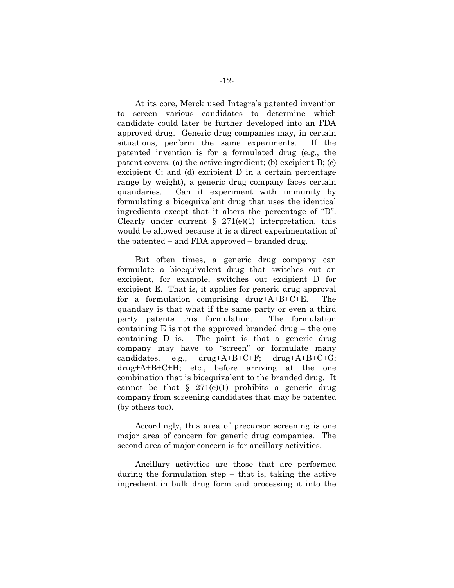At its core, Merck used Integra's patented invention to screen various candidates to determine which candidate could later be further developed into an FDA approved drug. Generic drug companies may, in certain situations, perform the same experiments. If the patented invention is for a formulated drug (e.g., the patent covers: (a) the active ingredient; (b) excipient B; (c) excipient C; and (d) excipient D in a certain percentage range by weight), a generic drug company faces certain quandaries. Can it experiment with immunity by formulating a bioequivalent drug that uses the identical ingredients except that it alters the percentage of "D". Clearly under current  $\S$  271(e)(1) interpretation, this would be allowed because it is a direct experimentation of the patented – and FDA approved – branded drug.

But often times, a generic drug company can formulate a bioequivalent drug that switches out an excipient, for example, switches out excipient D for excipient E. That is, it applies for generic drug approval for a formulation comprising drug+A+B+C+E. The quandary is that what if the same party or even a third party patents this formulation. The formulation containing  $E$  is not the approved branded drug – the one containing D is. The point is that a generic drug company may have to "screen" or formulate many candidates, e.g., drug+A+B+C+F; drug+A+B+C+G; drug+A+B+C+H; etc., before arriving at the one combination that is bioequivalent to the branded drug. It cannot be that  $\S$  271(e)(1) prohibits a generic drug company from screening candidates that may be patented (by others too).

Accordingly, this area of precursor screening is one major area of concern for generic drug companies. The second area of major concern is for ancillary activities.

Ancillary activities are those that are performed during the formulation step – that is, taking the active ingredient in bulk drug form and processing it into the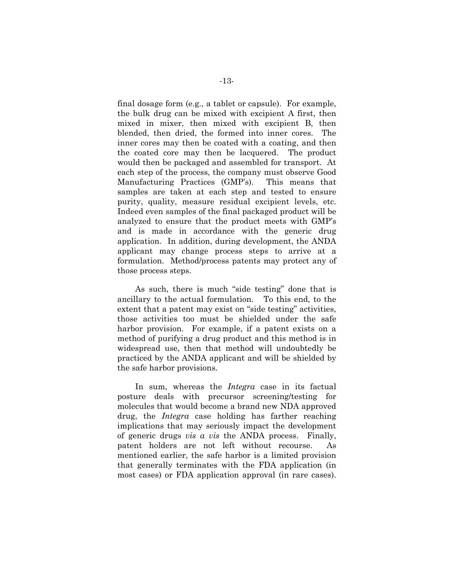final dosage form (e.g., a tablet or capsule). For example, the bulk drug can be mixed with excipient A first, then mixed in mixer, then mixed with excipient B, then blended, then dried, the formed into inner cores. The inner cores may then be coated with a coating, and then the coated core may then be lacquered. The product would then be packaged and assembled for transport. At each step of the process, the company must observe Good Manufacturing Practices (GMP's). This means that samples are taken at each step and tested to ensure purity, quality, measure residual excipient levels, etc. Indeed even samples of the final packaged product will be analyzed to ensure that the product meets with GMP's and is made in accordance with the generic drug application. In addition, during development, the ANDA applicant may change process steps to arrive at a formulation. Method/process patents may protect any of those process steps.

As such, there is much "side testing" done that is ancillary to the actual formulation. To this end, to the extent that a patent may exist on "side testing" activities, those activities too must be shielded under the safe harbor provision. For example, if a patent exists on a method of purifying a drug product and this method is in widespread use, then that method will undoubtedly be practiced by the ANDA applicant and will be shielded by the safe harbor provisions.

In sum, whereas the *Integra* case in its factual posture deals with precursor screening/testing for molecules that would become a brand new NDA approved drug, the *Integra* case holding has farther reaching implications that may seriously impact the development of generic drugs *vis a vis* the ANDA process. Finally, patent holders are not left without recourse. As mentioned earlier, the safe harbor is a limited provision that generally terminates with the FDA application (in most cases) or FDA application approval (in rare cases).